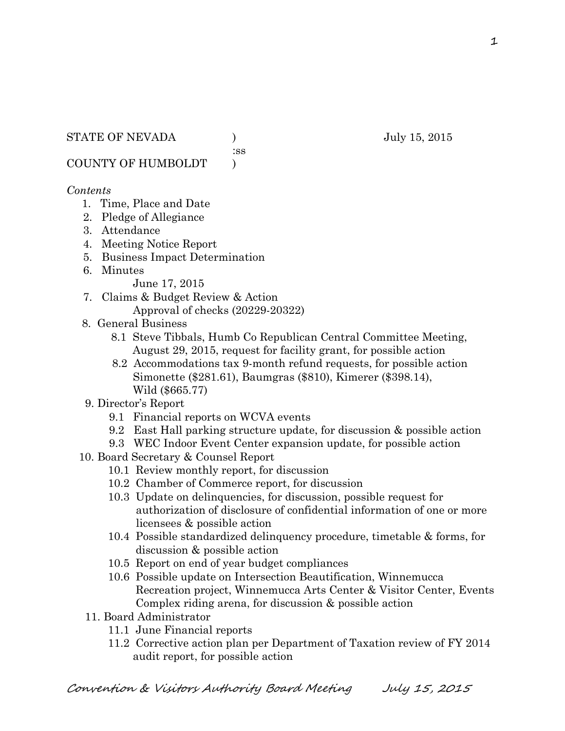:ss

COUNTY OF HUMBOLDT )

## *Contents*

- 1. Time, Place and Date
- 2. Pledge of Allegiance
- 3. Attendance
- 4. Meeting Notice Report
- 5. Business Impact Determination
- 6. Minutes

June 17, 2015

- 7. Claims & Budget Review & Action Approval of checks (20229-20322)
- 8. General Business
	- 8.1 Steve Tibbals, Humb Co Republican Central Committee Meeting, August 29, 2015, request for facility grant, for possible action
	- 8.2 Accommodations tax 9-month refund requests, for possible action Simonette (\$281.61), Baumgras (\$810), Kimerer (\$398.14), Wild (\$665.77)
- 9. Director's Report
	- 9.1 Financial reports on WCVA events
	- 9.2 East Hall parking structure update, for discussion & possible action
	- 9.3 WEC Indoor Event Center expansion update, for possible action
- 10. Board Secretary & Counsel Report
	- 10.1 Review monthly report, for discussion
	- 10.2 Chamber of Commerce report, for discussion
	- 10.3 Update on delinquencies, for discussion, possible request for authorization of disclosure of confidential information of one or more licensees & possible action
	- 10.4 Possible standardized delinquency procedure, timetable & forms, for discussion & possible action
	- 10.5 Report on end of year budget compliances
	- 10.6 Possible update on Intersection Beautification, Winnemucca Recreation project, Winnemucca Arts Center & Visitor Center, Events Complex riding arena, for discussion & possible action
	- 11. Board Administrator
		- 11.1 June Financial reports
		- 11.2 Corrective action plan per Department of Taxation review of FY 2014 audit report, for possible action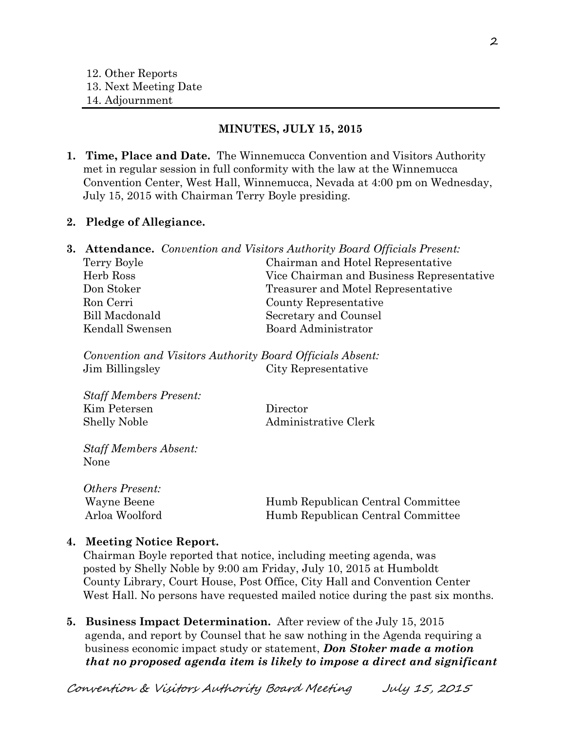#### **MINUTES, JULY 15, 2015**

**1. Time, Place and Date.** The Winnemucca Convention and Visitors Authority met in regular session in full conformity with the law at the Winnemucca Convention Center, West Hall, Winnemucca, Nevada at 4:00 pm on Wednesday, July 15, 2015 with Chairman Terry Boyle presiding.

#### **2. Pledge of Allegiance.**

|                 | <b>3. Attendance.</b> Convention and Visitors Authority Board Officials Present: |
|-----------------|----------------------------------------------------------------------------------|
| Terry Boyle     | Chairman and Hotel Representative                                                |
| Herb Ross       | Vice Chairman and Business Representative                                        |
| Don Stoker      | Treasurer and Motel Representative                                               |
| Ron Cerri       | County Representative                                                            |
| Bill Macdonald  | Secretary and Counsel                                                            |
| Kendall Swensen | <b>Board Administrator</b>                                                       |
|                 |                                                                                  |

*Convention and Visitors Authority Board Officials Absent:* Jim Billingsley City Representative

*Staff Members Present:* Kim Petersen Director Shelly Noble Administrative Clerk

*Staff Members Absent:* None

*Others Present:* Wayne Beene Humb Republican Central Committee Arloa Woolford Humb Republican Central Committee

#### **4. Meeting Notice Report.**

Chairman Boyle reported that notice, including meeting agenda, was posted by Shelly Noble by 9:00 am Friday, July 10, 2015 at Humboldt County Library, Court House, Post Office, City Hall and Convention Center West Hall. No persons have requested mailed notice during the past six months.

**5. Business Impact Determination.** After review of the July 15, 2015 agenda, and report by Counsel that he saw nothing in the Agenda requiring a business economic impact study or statement, *Don Stoker made a motion that no proposed agenda item is likely to impose a direct and significant* 

Convention & Visitors Authority Board Meeting July 15, 2015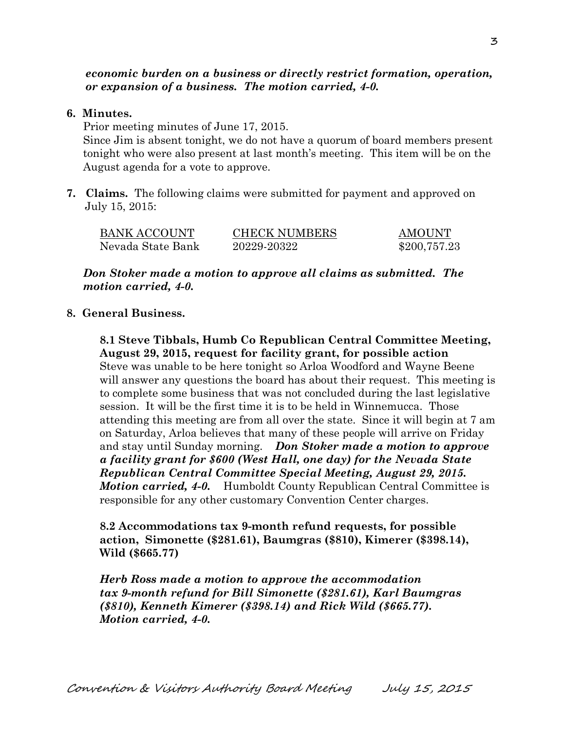*economic burden on a business or directly restrict formation, operation, or expansion of a business. The motion carried, 4-0.* 

#### **6. Minutes.**

Prior meeting minutes of June 17, 2015. Since Jim is absent tonight, we do not have a quorum of board members present tonight who were also present at last month's meeting. This item will be on the August agenda for a vote to approve.

**7. Claims.** The following claims were submitted for payment and approved on July 15, 2015:

| BANK ACCOUNT      | <b>CHECK NUMBERS</b> | <b>AMOUNT</b> |
|-------------------|----------------------|---------------|
| Nevada State Bank | 20229-20322          | \$200,757.23  |

*Don Stoker made a motion to approve all claims as submitted. The motion carried, 4-0.* 

#### **8. General Business.**

**8.1 Steve Tibbals, Humb Co Republican Central Committee Meeting, August 29, 2015, request for facility grant, for possible action** Steve was unable to be here tonight so Arloa Woodford and Wayne Beene will answer any questions the board has about their request. This meeting is to complete some business that was not concluded during the last legislative session. It will be the first time it is to be held in Winnemucca. Those attending this meeting are from all over the state. Since it will begin at 7 am on Saturday, Arloa believes that many of these people will arrive on Friday and stay until Sunday morning. *Don Stoker made a motion to approve a facility grant for \$600 (West Hall, one day) for the Nevada State Republican Central Committee Special Meeting, August 29, 2015. Motion carried, 4-0.* Humboldt County Republican Central Committee is responsible for any other customary Convention Center charges.

**8.2 Accommodations tax 9-month refund requests, for possible action, Simonette (\$281.61), Baumgras (\$810), Kimerer (\$398.14), Wild (\$665.77)**

*Herb Ross made a motion to approve the accommodation tax 9-month refund for Bill Simonette (\$281.61), Karl Baumgras (\$810), Kenneth Kimerer (\$398.14) and Rick Wild (\$665.77). Motion carried, 4-0.*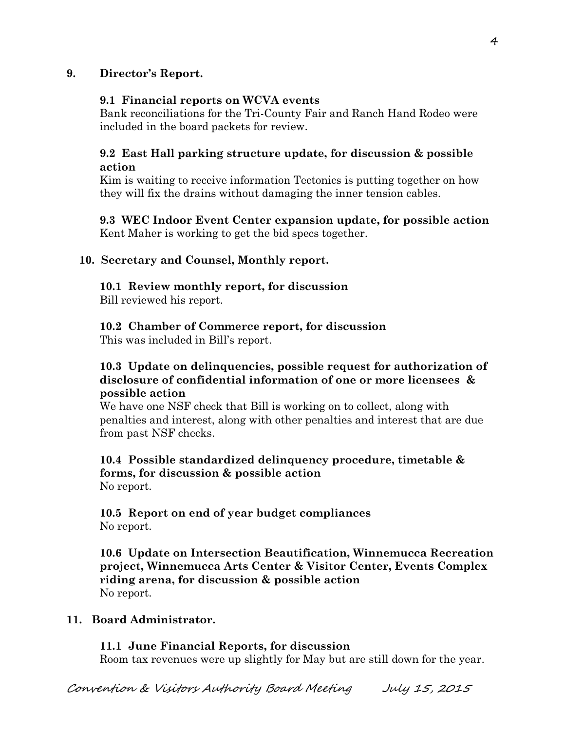# **9. Director's Report.**

### **9.1 Financial reports on WCVA events**

Bank reconciliations for the Tri-County Fair and Ranch Hand Rodeo were included in the board packets for review.

# **9.2 East Hall parking structure update, for discussion & possible action**

Kim is waiting to receive information Tectonics is putting together on how they will fix the drains without damaging the inner tension cables.

 **9.3 WEC Indoor Event Center expansion update, for possible action** Kent Maher is working to get the bid specs together.

## **10. Secretary and Counsel, Monthly report.**

## **10.1 Review monthly report, for discussion**

Bill reviewed his report.

## **10.2 Chamber of Commerce report, for discussion**

This was included in Bill's report.

### **10.3 Update on delinquencies, possible request for authorization of disclosure of confidential information of one or more licensees & possible action**

We have one NSF check that Bill is working on to collect, along with penalties and interest, along with other penalties and interest that are due from past NSF checks.

#### **10.4 Possible standardized delinquency procedure, timetable & forms, for discussion & possible action** No report.

## **10.5 Report on end of year budget compliances** No report.

**10.6 Update on Intersection Beautification, Winnemucca Recreation project, Winnemucca Arts Center & Visitor Center, Events Complex riding arena, for discussion & possible action** No report.

# **11. Board Administrator.**

#### **11.1 June Financial Reports, for discussion**

Room tax revenues were up slightly for May but are still down for the year.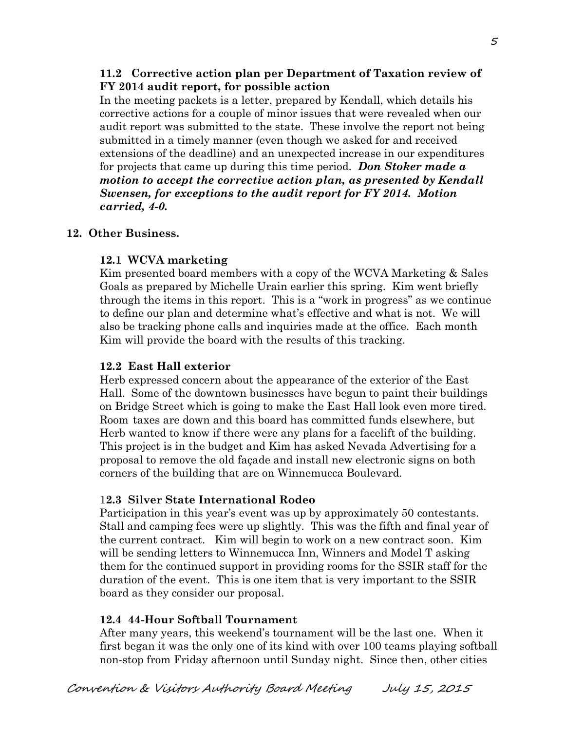### **11.2 Corrective action plan per Department of Taxation review of FY 2014 audit report, for possible action**

In the meeting packets is a letter, prepared by Kendall, which details his corrective actions for a couple of minor issues that were revealed when our audit report was submitted to the state. These involve the report not being submitted in a timely manner (even though we asked for and received extensions of the deadline) and an unexpected increase in our expenditures for projects that came up during this time period. *Don Stoker made a motion to accept the corrective action plan, as presented by Kendall Swensen, for exceptions to the audit report for FY 2014. Motion carried, 4-0.* 

## **12. Other Business.**

# **12.1 WCVA marketing**

Kim presented board members with a copy of the WCVA Marketing & Sales Goals as prepared by Michelle Urain earlier this spring. Kim went briefly through the items in this report. This is a "work in progress" as we continue to define our plan and determine what's effective and what is not. We will also be tracking phone calls and inquiries made at the office. Each month Kim will provide the board with the results of this tracking.

### **12.2 East Hall exterior**

Herb expressed concern about the appearance of the exterior of the East Hall. Some of the downtown businesses have begun to paint their buildings on Bridge Street which is going to make the East Hall look even more tired. Room taxes are down and this board has committed funds elsewhere, but Herb wanted to know if there were any plans for a facelift of the building. This project is in the budget and Kim has asked Nevada Advertising for a proposal to remove the old façade and install new electronic signs on both corners of the building that are on Winnemucca Boulevard.

# 1**2.3 Silver State International Rodeo**

Participation in this year's event was up by approximately 50 contestants. Stall and camping fees were up slightly. This was the fifth and final year of the current contract. Kim will begin to work on a new contract soon. Kim will be sending letters to Winnemucca Inn, Winners and Model T asking them for the continued support in providing rooms for the SSIR staff for the duration of the event. This is one item that is very important to the SSIR board as they consider our proposal.

# **12.4 44-Hour Softball Tournament**

After many years, this weekend's tournament will be the last one. When it first began it was the only one of its kind with over 100 teams playing softball non-stop from Friday afternoon until Sunday night. Since then, other cities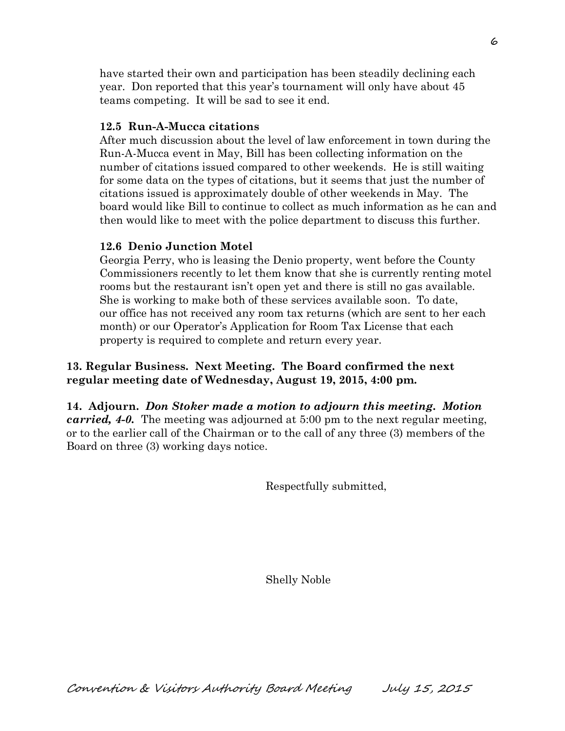have started their own and participation has been steadily declining each year. Don reported that this year's tournament will only have about 45 teams competing. It will be sad to see it end.

# **12.5 Run-A-Mucca citations**

After much discussion about the level of law enforcement in town during the Run-A-Mucca event in May, Bill has been collecting information on the number of citations issued compared to other weekends. He is still waiting for some data on the types of citations, but it seems that just the number of citations issued is approximately double of other weekends in May. The board would like Bill to continue to collect as much information as he can and then would like to meet with the police department to discuss this further.

## **12.6 Denio Junction Motel**

Georgia Perry, who is leasing the Denio property, went before the County Commissioners recently to let them know that she is currently renting motel rooms but the restaurant isn't open yet and there is still no gas available. She is working to make both of these services available soon. To date, our office has not received any room tax returns (which are sent to her each month) or our Operator's Application for Room Tax License that each property is required to complete and return every year.

# **13. Regular Business. Next Meeting. The Board confirmed the next regular meeting date of Wednesday, August 19, 2015, 4:00 pm.**

**14. Adjourn.** *Don Stoker made a motion to adjourn this meeting. Motion carried, 4-0.* The meeting was adjourned at 5:00 pm to the next regular meeting, or to the earlier call of the Chairman or to the call of any three (3) members of the Board on three (3) working days notice.

Respectfully submitted,

Shelly Noble